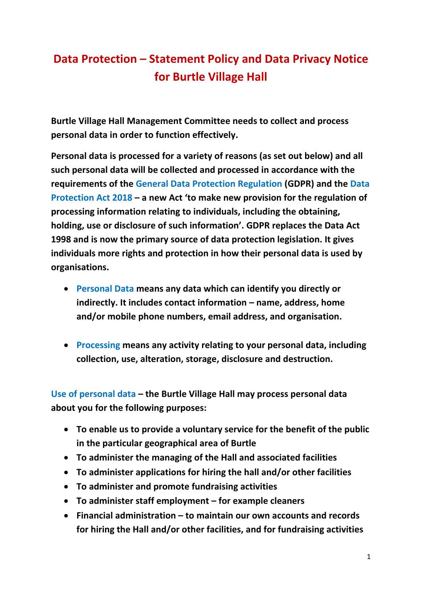## **Data Protection – Statement Policy and Data Privacy Notice for Burtle Village Hall**

**Burtle Village Hall Management Committee needs to collect and process personal data in order to function effectively.**

**Personal data is processed for a variety of reasons (as set out below) and all such personal data will be collected and processed in accordance with the requirements of the General Data Protection Regulation (GDPR) and the Data Protection Act 2018 – a new Act 'to make new provision for the regulation of processing information relating to individuals, including the obtaining, holding, use or disclosure of such information'. GDPR replaces the Data Act 1998 and is now the primary source of data protection legislation. It gives individuals more rights and protection in how their personal data is used by organisations.**

- **Personal Data means any data which can identify you directly or indirectly. It includes contact information – name, address, home and/or mobile phone numbers, email address, and organisation.**
- **Processing means any activity relating to your personal data, including collection, use, alteration, storage, disclosure and destruction.**

**Use of personal data – the Burtle Village Hall may process personal data about you for the following purposes:**

- **To enable us to provide a voluntary service for the benefit of the public in the particular geographical area of Burtle**
- **To administer the managing of the Hall and associated facilities**
- **To administer applications for hiring the hall and/or other facilities**
- **To administer and promote fundraising activities**
- **To administer staff employment – for example cleaners**
- **Financial administration – to maintain our own accounts and records for hiring the Hall and/or other facilities, and for fundraising activities**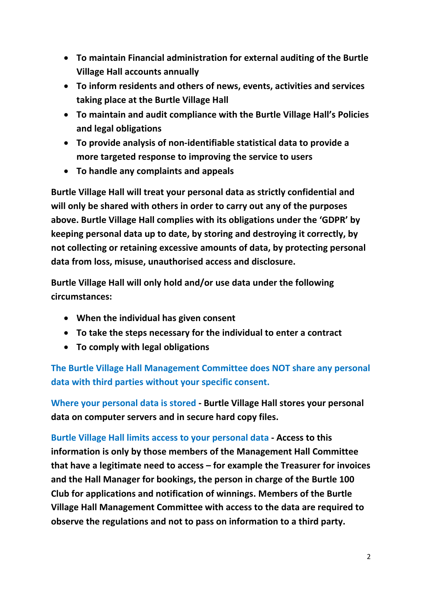- **To maintain Financial administration for external auditing of the Burtle Village Hall accounts annually**
- **To inform residents and others of news, events, activities and services taking place at the Burtle Village Hall**
- **To maintain and audit compliance with the Burtle Village Hall's Policies and legal obligations**
- **To provide analysis of non-identifiable statistical data to provide a more targeted response to improving the service to users**
- **To handle any complaints and appeals**

**Burtle Village Hall will treat your personal data as strictly confidential and will only be shared with others in order to carry out any of the purposes above. Burtle Village Hall complies with its obligations under the 'GDPR' by keeping personal data up to date, by storing and destroying it correctly, by not collecting or retaining excessive amounts of data, by protecting personal data from loss, misuse, unauthorised access and disclosure.**

**Burtle Village Hall will only hold and/or use data under the following circumstances:**

- **When the individual has given consent**
- **To take the steps necessary for the individual to enter a contract**
- **To comply with legal obligations**

**The Burtle Village Hall Management Committee does NOT share any personal data with third parties without your specific consent.**

**Where your personal data is stored - Burtle Village Hall stores your personal data on computer servers and in secure hard copy files.** 

**Burtle Village Hall limits access to your personal data - Access to this information is only by those members of the Management Hall Committee that have a legitimate need to access – for example the Treasurer for invoices and the Hall Manager for bookings, the person in charge of the Burtle 100 Club for applications and notification of winnings. Members of the Burtle Village Hall Management Committee with access to the data are required to observe the regulations and not to pass on information to a third party.**